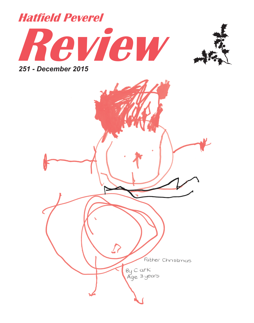



*251 - December 2015*

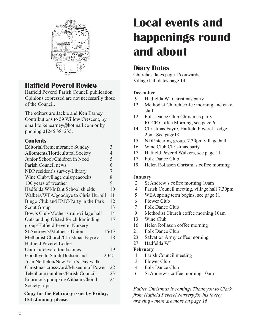

### **Hatfield Peverel Review**

Hatfield Peverel Parish Council publication. Opinions expressed are not necessarily those of the Council.

The editors are Jackie and Ken Earney. Contributions to 59 Willow Crescent, by email to kenearney@hotmail.com or by phoning 01245 381235.

#### **Contents**

| Editorial/Remembrance Sunday          |                |
|---------------------------------------|----------------|
| Allotments/Horticultural Society      | $\overline{4}$ |
| Junior School/Children in Need        | 5              |
| Parish Council news                   | 6              |
| NDP resident's survey/Library         | 7              |
| Wine Club/village quiz/peacocks       | 8              |
| 100 years of weather                  | 9              |
| Hadfelda WI/Infant School shields     | 10             |
| Walkers/WEA/goodbye to Chris Hurrell  | 11             |
| Bingo Club and EMC/Party in the Park  | 12             |
| Scout Group                           | 13             |
| Bowls Club/Mother's ruin/village hall | 14             |
| Outstanding Ofsted for childminding   | 15             |
| group/Hatfield Peverel Nursery        |                |
| St Andrew's/Mother's Union            | 16/17          |
| Methodist Church/Christmas Fayre at   | 18             |
| Hatfield Peverel Lodge                |                |
| Our churchyard tombstones             | 19             |
| Goodbye to Sarah Dodson and           | 20/21          |
| Joan Nettleton/New Year's Day walk    |                |
| Christmas crossword/Museum of Power   | 22             |
| Telephone numbers/Parish Council      | 23             |
| Enormous pumpkin/Witham Choral        | 24             |
| Society trips                         |                |
| Court fou the February from he Fulder |                |

**Copy for the February issue by Friday, 15th January please.**

# **Local events and happenings round and about**

### **Diary Dates**

Churches dates page 16 onwards Village hall dates page 14

#### **December**

- 9 Hadfelda WI Christmas party
- 12 Methodist Church coffee morning and cake stall
- 12 Folk Dance Club Christmas party RCCE Coffee Morning, see page 6
- 14 Christmas Fayre, Hatfield Peverel Lodge, 2pm. See page18
- 15 NDP steering group, 7.30pm village hall
- 16 Wine Club Christmas party
- 17 Hatfield Peverel Walkers, see page 11
- 17 Folk Dance Club
- 19 Helen Rollason Christmas coffee morning

#### **January**

- 2 St Andrew's coffee morning 10am
- 4 Parish Council meeting, village hall 7.30pm
- 5 WEA spring term begins, see page 11
- 6 Flower Club
- 7 Folk Dance Club
- 9 Methodist Church coffee morning 10am
- 13 Wine Club
- 16 Helen Rollason coffee morning
- 21 Folk Dance Club
- 23 Salvation Army coffee morning
- 27 Hadfelda WI

#### **February**

- 1 Parish Council meeting
- 3 Flower Club
- 4 Folk Dance Club
- 6 St Andrew's coffee morning 10am

*Father Christmas is coming! Thank you to Clark from Hatfield Peverel Nursery for his lovely drawing - there are more on page 16*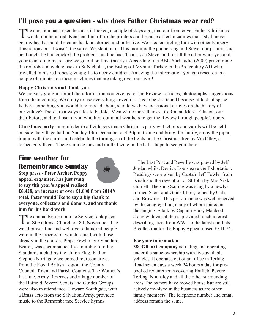### **I'll pose you a question - why does Father Christmas wear red?**

The question has arisen because it looked, a couple of days ago, that our front cover Father Christmas would not be in red; Ken sent him off to the printers and because of technicalities that I shall never get my head around, he came back unadorned and unfestive. We tried encircling him with other Nursery illustrations but it wasn't the same. We slept on it. This morning the phone rang and Steve, our printer, said he thought he had cracked the problem - and he had. Thank you Steve, and for all the other work you and your team do to make sure we go out on time (nearly). According to a BBC York radio (2009) programme the red robes may date back to St Nicholas, the Bishop of Myra in Turkey in the 3rd century AD who travelled in his red robes giving gifts to needy children. Amazing the information you can research in a couple of minutes on these machines that are taking over our lives!

#### **Happy Christmas and thank you**

We are very grateful for all the information you give us for the Review - articles, photographs, suggestions. Keep them coming. We do try to use everything - even if it has to be shortened because of lack of space. Is there something you would like to read about, should we have occasional articles on the history of our village? There are always tales to be told. Meanwhile more thanks - to Ron ad Marel Elliston, our distributors, and to those of you who turn out in all weathers to get the Review through people's doors.

**Christmas party -** a reminder to all villagers that a Christmas party with choirs and carols will be held outside the village hall on Sunday 13th December at 4.30pm. Come and bring the family, enjoy the piper, join in with the carols and celebrate the turning on of the lights on the Christmas tree by Vic Olley, a respected vi**l**lager. There's mince pies and mulled wine in the hall - hope to see you there.

### **Fine weather for Remembrance Sunday**



**Stop press - Peter Archer, Poppy appeal organiser, has just rung to say this year's appeal realised** 

**£6,428, an increase of over £1,000 from 2014's total. Peter would like to say a big thank to everyone, collectors and donors, and we thank him for his hard work**

The annual Remembrance Service took place at St Andrews Church on 8th November. The weather was fine and well over a hundred people were in the procession which joined with those already in the church. Pippa Fowler, our Standard Bearer, was accompanied by a number of other Standards including the Union Flag. Father Stephen Northgate welcomed representatives from the Royal British Legion, the County Council, Town and Parish Councils. The Women's Institute, Army Reserves and a large number of the Hatfield Peverel Scouts and Guides Groups were also in attendance. Howard Southgate, with a Brass Trio from the Salvation Army, provided music to the Remembrance Service hymns.

The Last Post and Reveille was played by Jeff Jordan whilst Derrick Louis gave the Exhortation. Readings were given by Captain Jeff Fowler from Isaiah and the revelation of St John by Mrs Nikki Gurnett. The song Sailing was sung by a newlyformed Scout and Guide Choir, joined by Cubs and Brownies. This performance was well received by the congregation, many of whom joined in the singing. A talk by Captain Harry Macleod, along with visual items, provided much interest describing facts from WW1 to the latest conflicts. A collection for the Poppy Appeal raised £341.74.

#### **For your information**

**380370 taxi company** is trading and operating under the same ownership with five available vehicles. It operates out of an office in Terling Road seven days a week 24 hours a day for prebooked requirements covering Hatfield Peverel, Terling, Nounsley and all the other surrounding areas The owners have moved house **but** are still actively involved in the business as are other family members. The telephone number and email address remain the same.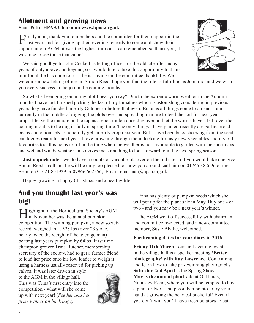#### **Allotment and growing news Sean Pettit HPAA Chairman www.hpaa.org.uk**

Firstly a big thank you to members and the committee for their support in the last year, and for giving up their evening recently to come and show their support at our AGM, it was the highest turn out I can remember, so thank you, it was nice to see those that came!

We said goodbye to John Cockell as letting officer for the old site after many years of duty above and beyond, so I would like to take this opportunity to thank him for all he has done for us - he is staying on the committee thankfully. We



welcome a new letting officer in Simon Reed, hope you find the role as fulfilling as John did, and we wish you every success in the job in the coming months.

So what's been going on on my plot I hear you say? Due to the extreme warm weather in the Autumn months I have just finished picking the last of my tomatoes which is astonishing considering in previous years they have finished in early October or before that even. But alas all things come to an end, I am currently in the middle of digging the plots over and spreading manure to feed the soil for next year's crops. I leave the manure on the top as a good mulch once dug over and let the worms have a ball over the coming months to be dug in fully in spring time. The only things I have planted recently are garlic, broad beans and onion sets to hopefully get an early crop next year. But I have been busy choosing from the seed catalogues ready for next year, I love browsing through them, looking for tasty new vegetables and my old favourites too, this helps to fill in the time when the weather is not favourable to garden with the short days and wet and windy weather - also gives me something to look forward to in the next spring season.

**Just a quick note** - we do have a couple of vacant plots over on the old site so if you would like one give Simon Reed a call and he will be only too pleased to show you around, call him on 01245 382696 or me, Sean, on 01621 851929 or 07966 662556, Email: chairman@hpaa.org.uk

Happy growing, a happy Christmas and a healthy life.

### **And you thought last year's was big!**

**Highlight of the Horticultural Society's AGM**<br>in November was the annual pumpkin competition. The winning pumpkin, a new society record, weighed in at 328 lbs (over 23 stone, nearly twice the weight of the average man) beating last years pumpkin by 64lbs. First time champion grower Trina Butcher, membership secretary of the society, had to get a farmer friend to load her prize onto his low loader to weigh it using a harness usually reserved for picking up

calves. It was later driven in style to the AGM in the village hall. This was Trina's first entry into the competition - what will she come up with next year! (*See her and her prize winner on back page)*



Trina has plenty of pumpkin seeds which she will pot up for the plant sale in May. Buy one - or two - and you may be a next year's winner.

The AGM went off successfully with chairman and committee re-elected, and a new committee member, Susie Blythe, welcomed.

#### **Forthcoming dates for your diary in 2016**

**Friday 11th March** - our first evening event in the village hall is a speaker meeting **'Better photography' with Ray Lawrence.** Come along and learn how to take prizewinning photographs **Saturday 2nd April** is the Spring Show **May is the annual plant sale** at Oaklands, Nounsley Road, where you will be tempted to buy a plant or two - and possibly a potato to try your hand at growing the heaviest bucketful! Even if you don't win, you'll have fresh potatoes to eat.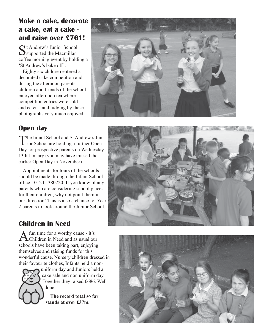### **Make a cake, decorate a cake, eat a cake and raise over £761!**

 $S_{\text{support}}^{\text{t}}$  Andrew's Junior School coffee morning event by holding a 'St Andrew's bake off'.

Eighty six children entered a decorated cake competition and during the afternoon parents, children and friends of the school enjoyed afternoon tea where competition entries were sold and eaten - and judging by these photographs very much enjoyed!



### **Open day**

The Infant School and St Andrew's Jun- $\perp$  ior School are holding a further Open Day for prospective parents on Wednesday 13th January (you may have missed the earlier Open Day in November).

Appointments for tours of the schools should be made through the Infant School office - 01245 380220. If you know of any parents who are considering school places for their children, why not point them in our direction! This is also a chance for Year 2 parents to look around the Junior School.

## **Children in Need**

A fun time for a worthy cause - it's<br>Children in Need and as usual our schools have been taking part, enjoying themselves and raising funds for this wonderful cause. Nursery children dressed in their favourite clothes, Infants held a non-



uniform day and Juniors held a cake sale and non uniform day. Together they raised £686. Well done.

**The record total so far stands at over £37m.**

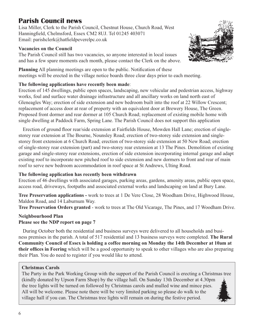### **Parish Council news**

Lisa Miller, Clerk to the Parish Council, Chestnut House, Church Road, West Hanningfield, Chelmsford, Essex CM2 8UJ. Tel 01245 403071 Email: parishclerk@hatfieldpeverelpc.co.uk

#### **Vacancies on the Council**

The Parish Council still has two vacancies, so anyone interested in local issues and has a few spare moments each month, please contact the Clerk on the above.



**Planning** All planning meetings are open to the public. Notification of these meetings will be erected in the village notice boards three clear days prior to each meeting.

#### **The following applications have recently been made**:

Erection of 145 dwellings, public open spaces, landscaping, new vehicular and pedestrian access, highway works, foul and surface water drainage infrastructure and all ancillary works on land north east of Gleneagles Way; erection of side extension and new bedroom built into the roof at 22 Willow Crescent; replacement of access door at rear of property with an equivalent door at Brewery House, The Green. Proposed front dormer and rear dormer at 105 Church Road; replacement of existing mobile home with single dwelling at Paddock Farm, Spring Lane. The Parish Council does not support this application

Erection of ground floor rear/side extension at Fairfields House, Mowden Hall Lane; erection of singlestorey rear extension at The Bourne, Nounsley Road; erection of two-storey side extension and singlestorey front extension at 6 Church Road; erection of two-storey side extension at 50 New Road; erection of single-storey rear extension (part) and two-storey rear extension at 13 The Pines. Demolition of existing garage and single-storey rear extensions, erection of side extension incorporating internal garage and adapt existing roof to incorporate new pitched roof to side extension and new dormers to front and rear of main roof to serve new bedroom accommodation in roof space at St Andrews, Ulting Road.

#### **The following application has recently been withdrawn**

Erection of 46 dwellings with associated garages, parking areas, gardens, amenity areas, public open space, access road, driveways, footpaths and associated external works and landscaping on land at Bury Lane.

**Tree Preservation applications -** work to trees at 1 De Vere Close, 28 Woodham Drive, Highwood House, Maldon Road, and 14 Laburnum Way.

**Tree Preservation Orders granted** - work to trees at The Old Vicarage, The Pines, and 17 Woodham Drive.

#### **Neighbourhood Plan Please see the NDP report on page 7**

During October both the residential and business surveys were delivered to all households and business premises in the parish. A total of 517 residential and 13 business surveys were completed. **The Rural Community Council of Essex is holding a coffee morning on Monday the 14th December at 10am at their offices in Feering** which will be a good opportunity to speak to other villages who are also preparing their Plan. You do need to register if you would like to attend.

#### **Christmas Carols**

The Party in the Park Working Group with the support of the Parish Council is erecting a Christmas tree (kindly donated by Upson Farm Shop) by the village hall. On Sunday 13th December at 4.30pm the tree lights will be turned on followed by Christmas carols and mulled wine and mince pies. All will be welcome. Please note there will be very limited parking so please do walk to the village hall if you can. The Christmas tree lights will remain on during the festive period.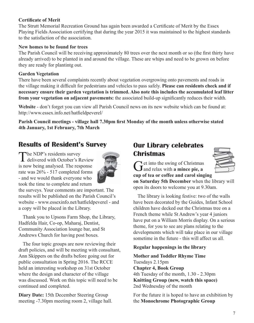#### **Certificate of Merit**

The Strutt Memorial Recreation Ground has again been awarded a Certificate of Merit by the Essex Playing Fields Association certifying that during the year 2015 it was maintained to the highest standards to the satisfaction of the association.

#### **New homes to be found for trees**

The Parish Council will be receiving approximately 80 trees over the next month or so (the first thirty have already arrived) to be planted in and around the village. These are whips and need to be grown on before they are ready for plantintg out.

#### **Garden Vegetation**

There have been several complaints recently about vegetation overgrowing onto pavements and roads in the village making it difficult for pedestrians and vehicles to pass safely. **Please can residents check and if necessary ensure their garden vegetation is trimmed. Also note this includes the accumulated leaf litter from your vegetation on adjacent pavements:** the associated build-up significantly reduces their width.

**Website** - don't forget you can view all Parish Council news on its new website which can be found at: http://www.essex.info.net/hatfieldpeverel/

**Parish Council meetings - village hall 7.30pm first Monday of the month unless otherwise stated 4th January, 1st February, 7th March**

### **Results of Resident's Survey**

The NDP's residents survey delivered with October's Review is now being analysed. The response rate was 26% - 517 completed forms - and we would thank everyone who took the time to complete and return



the surveys. Your comments are important. The results will be published on the Parish Council's website - www.essexinfo.net/hatfieldpeverel - and a copy will be placed in the Library.

Thank you to Upsons Farm Shop, the Library, Hadfelda Hair, Co-op, Maharaj, Dentist, Community Association lounge bar, and St Andrews Church for having post boxes.

The four topic groups are now reviewing their draft policies, and will be meeting with consultant, Ann Skippers on the drafts before going out for public consultation in Spring 2016. The RCCE held an interesting workshop on 31st October where the design and character of the village was discussed. Work on this topic will need to be continued and completed.

**Diary Date:** 15th December Steering Group meeting -7.30pm meeting room 2, village hall.

### **Our Library celebrates Christmas**



Get into the swing of Christmas<br> **G** and relax with **a mince pie, a cup of tea or coffee and carol singing** 

**on Saturday 5th December** when the library will open its doors to welcome you at 9.30am.

The library is looking festive: two of the walls have been decorated by the Guides, Infant School children have decked out the Christmas tree on a French theme while St Andrew's year 4 juniors have put on a William Morris display. On a serious theme, for you to see are plans relating to the developments which will take place in our village sometime in the future - this will affect us all.

#### **Regular happenings in the library**

**Mother and Toddler Rhyme Time** Tuesdays 2.15pm **Chapter 4, Book Group**  4th Tuesday of the month, 1.30 - 2.30pm **Knitting Group (new, watch this space)** 2nd Wednesday of the month

For the future it is hoped to have an exhibition by the **Monochrome Photographic Group**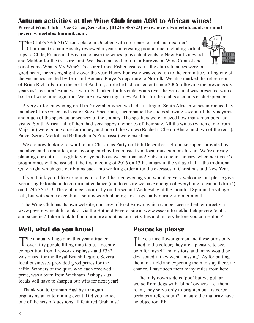#### **Autumn activities at the Wine Club from AGM to African wines! Peverel Wine Club – Vee Green, Secretary (01245 355723) www.peverelwineclub.co.uk or email peverelwineclub@hotmail.co.uk**

The Club's 38th AGM took place in October, with no scenes of riot and disorder!<br>Chairman Graham Bushby reviewed a year's interesting programme, including virtual trips to Chile, France and Bavaria to taste the wines, plus actual visits to New Hall vineyard and Maldon for the treasure hunt. We also managed to fit in a Eurovision Wine Contest and panel-game What's My Wine? Treasurer Linda Fisher assured us the club's finances were in



good heart, increasing slightly over the year. Henry Podlesny was voted on to the committee, filling one of the vacancies created by Jean and Bernard Prayel's departure to Norfolk. We also marked the retirement of Brian Richards from the post of Auditor, a role he had carried out since 2006 following the previous six years as Treasurer! Brian was warmly thanked for his endeavours over the years, and was presented with a bottle of wine in recognition. We are now seeking a new Auditor for the club's accounts each September.

A very different evening on 11th November when we had a tasting of South African wines introduced by member Chris Green and visitor Steve Spearman, accompanied by slides showing several of the vineyards and much of the spectacular scenery of the country. The speakers were amazed how many members had visited South Africa - all of them had very happy memories of their stay. All the wines (which came from Majestic) were good value for money, and one of the whites (Rachel's Chenin Blanc) and two of the reds (a Parcel Series Merlot and Bellingham's Pinopasso) were excellent.

We are now looking forward to our Christmas Party on 16th December, a 4-course supper provided by members and committee, and accompanied by live music from local musician Ian Jordan. We're already planning our outfits – as glittery or yo ho ho as we can manage! Subs are due in January, when next year's programmes will be issued at the first meeting of 2016 on 13th January in the village hall – the traditional Quiz Night which gets our brains back into working order after the excesses of Christmas and New Year.

If you think you'd like to join us for a light-hearted evening you would be very welcome, but please give Vee a ring beforehand to confirm attendance (and to ensure we have enough of everything to eat and drink!) on 01245 355723. The club meets normally on the second Wednesday of the month at 8pm in the village hall, but with some exceptions, so it is worth phoning first, especially during summer months.

The Wine Club has its own website, courtesy of Fred Brown, which can be accessed either direct via www.peverelwineclub.co.uk or via the Hatfield Peverel site at www.essexinfo.net/hatfieldpeverel/clubsand-societies/ Take a look to find out more about us, our activities and history before you come along!

### **Well, what do you know!**

The annual village quiz this year attracted over fifty people filling nine tables - despite competition from firework displays - and £332 was raised for the Royal British Legion. Several local businesses provided good prizes for the raffle. Winners of the quiz, who each received a prize, was a team from Wickham Bishops - us locals will have to sharpen our wits for next year!

Thank you to Graham Bushby for again organising an entertaining event. Did you notice one of the sets of questions all featured Grahams?

### **Peacocks please**

Thave a nice flower garden and these birds only<br>add to the colour; they are a pleasure to see, **L**add to the colour; they are a pleasure to see, both for myself and visitors, and many would be devastated if they went 'missing'. As for putting them in a field and expecting them to stay there, no chance, I have seen them many miles from here.

The only down side is 'poo' but we get far worse from dogs with 'blind' owners. Let them roam, they serve only to brighten our lives. Or perhaps a referendum? I'm sure the majority have no objection. PE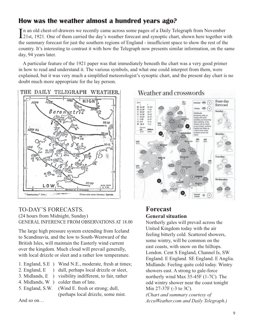### **How was the weather almost a hundred years ago?**

In an old chest-of-drawers we recently came across some pages of a Daily Telegraph from November<br>21st, 1921. One of them carried the day's weather forecast and synoptic chart, shown here together with n an old chest-of-drawers we recently came across some pages of a Daily Telegraph from November the summary forecast for just the southern regions of England - insufficient space to show the rest of the country. It's interesting to contrast it with how the Telegraph now presents similar information, on the same day, 94 years later.

A particular feature of the 1921 paper was that immediately beneath the chart was a very good primer in how to read and understand it. The various symbols, and what one could interpret from them, were explained, but it was very much a simplified meteorologist's synoptic chart, and the present day chart is no doubt much more appropriate for the lay person.

THE DAILY TELEGRAPH WEATHER.



#### TO-DAY'S FORECASTS. (24 hours from Midnight, Sunday) GENERAL INFERENCE FROM OBSERVATIONS AT 18.00

The large high pressure system extending from Iceland to Scandinavia, and the low to South-Westward of the British Isles, will maintain the Easterly wind current over the kingdom. Much cloud will prevail generally, with local drizzle or sleet and a rather low temperature.

- 1. England, S.E ) Wind N.E., moderate, fresh at times;
- 2. England, E ) dull, perhaps local drizzle or sleet,
- 3. Midlands, E ) visibility indifferent, to fair, rather
- 4. Midlands, W ) colder than of late.
- 5. England, S.W. (Wind E. fresh or strong; dull,

(perhaps local drizzle, some mist.

And so on…



### Weather and crosswords

### **Forecast General situation**

Northerly gales will prevail across the United Kingdom today with the air feeling bitterly cold. Scattered showers, some wintry, will be common on the east coasts, with snow on the hilltops. London. Cent S England, Channel Is, SW England. E England. SE England. E Anglia. Midlands: Feeling quite cold today. Wintry showers east. A strong to gale-force northerly wind Max 35-45F (1-7C). The odd wintry shower near the coast tonight Min 27-37F (-3 to 3C). *(Chart and summary courtesy of AccuWeather.com and Daily Telegraph.)*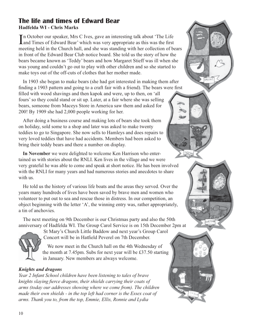#### **The life and times of Edward Bear Hadfelda WI - Chris Marks**

In October our speaker, Mrs C Ives, gave an interesting talk about 'The Life's and Times of Edward Bear' which was very appropriate as this was the first Land Times of Edward Bear' which was very appropriate as this was the first meeting held in the Church hall, and she was standing with her collection of bears in front of the Edward Bear Club notice board. She told us the story of how the bears became known as 'Teddy' bears and how Margaret Stieff was ill when she was young and couldn't go out to play with other children and so she started to make toys out of the off-cuts of clothes that her mother made.

In 1903 she began to make bears (she had got interested in making them after finding a 1903 pattern and going to a craft fair with a friend). The bears were first filled with wood shavings and then kapok and were, up to then, on 'all fours' so they could stand or sit up. Later, at a fair where she was selling bears, someone from Maceys Store in America saw them and asked for 200! By 1909 she had 2,000 people working for her.

After doing a business course and making lots of bears she took them on holiday, sold some to a shop and later was asked to make twenty teddies to go to Singapore. She now sells to Hamleys and does repairs to very loved teddies that have had accidents. Members had been asked to bring their teddy bears and there a number on display.

**In November** we were delighted to welcome Ken Harrison who entertained us with stories about the RNLI. Ken lives in the village and we were very grateful he was able to come and speak at short notice. He has been involved with the RNLI for many years and had numerous stories and anecdotes to share with us.

He told us the history of various life boats and the areas they served. Over the years many hundreds of lives have been saved by brave men and women who volunteer to put out to sea and rescue those in distress. In our competition, an object beginning with the letter 'A', the winning entry was, rather appropriately, a tin of anchovies.

The next meeting on 9th December is our Christmas party and also the 50th anniversary of Hadfelda WI. The Group Carol Service is on 15th December 2pm at



St Mary's Church Little Baddow and next year's Group Carol Concert will be in Hatfield Peverel on 7th December.

We now meet in the Church hall on the 4th Wednesday of the month at 7.45pm. Subs for next year will be £37.50 starting in January. New members are always welcome.

#### *Knights and dragons*

*Year 2 Infant School children have been listening to tales of brave knights slaying fierce dragons, their shields carrying their coats of arms (today our addresses showing where we come from). The children made their own shields - in the top left had corner is the Essex coat of arms. Thank you to, from the top, Emmie, Ellis, Ronnie and Lydia*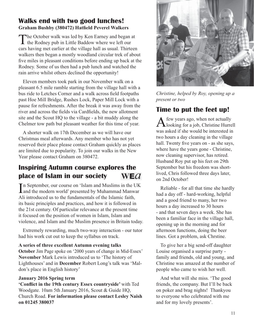#### **Walks end with two good lunches! Graham Bushby (380472) Hatfield Peverel Walkers**

The October walk was led by Ken Earney and began at the Rodney pub in Little Baddow where we left our cars having met earlier at the village hall as usual. Thirteen walkers then began a mostly woodland circular trek of about five miles in pleasant conditions before ending up back at the Rodney. Some of us then had a pub lunch and watched the rain arrive whilst others declined the opportunity!

Eleven members took park in our November walk on a pleasant 6.5 mile ramble starting from the village hall with a bus ride to Letches Corner and a walk across field footpaths past Hoe Mill Bridge, Rushes Lock, Paper Mill Lock with a pause for refreshments. After the break it was away from the river and across the fields via Cardfields, the new allotment site and the Scout HQ to the village - a bit muddy along the Chelmer tow path but pleasant weather for this time of year.

A shorter walk on 17th December as we will have our Christmas meal afterwards. Any member who has not yet reserved their place please contact Graham quickly as places are limited due to popularity. To join our walks in the New Year please contact Graham on 380472.

#### **Inspiring Autumn course explores the place of Islam in our society**  WE $a$

In September, our course on 'Islam and Muslims in the UK<br>and the modern world' presented by Muhammad Manwar n September, our course on 'Islam and Muslims in the UK Ali introduced us to the fundamentals of the Islamic faith, its basic principles and practices, and how it is followed in the 21st century. Of particular relevance at the present time it focused on the position of women in Islam, Islam and violence, and Islam and the Muslim presence in Britain today.

Extremely rewarding, much two-way interaction - our tutor had his work cut out to keep the syllabus on track.

#### **A series of three excellent Autumn evening talks**

**October** Jim Page spoke on '2000 years of change in Mid-Essex' **November** Mark Lewis introduced us to 'The history of Lighthouses' and in **December** Robert Long's talk was 'Maldon's place in English history'

#### **January 2016 Spring term**

**'Conflict in the 19th century Essex countryside'** with Ted Woodgate. 10am 5th January 2016, Scout & Guide HQ, Church Road. **For information please contact Lesley Naish on 01245 380037**



*Christine, helped by Roy, opening up a present or two*

### **Time to put the feet up!**

A few years ago, when not actually<br> **A** looking for a job, Christine Hurrell was asked if she would be interested in two hours a day cleaning in the village hall. Twenty five years on - as she says, where have the years gone - Christine, now cleaning supervisor, has retired. Husband Roy put up his feet on 29th September but his freedom was shortlived, Chris followed three days later, on 2nd October!

Reliable - for all that time she hardly had a day off - hard-working, helpful and a good friend to many, her two hours a day increased to 30 hours - and that seven days a week. She has been a familiar face in the village hall, opening up in the morning and for afternoon functions, doing the beer lines. Got a problem, ask Chrstine.

To give her a big send-off daughter Louise organised a surprise party family and friends, old and young, and Christine was amazed at the number of people who came to wish her well.

And what will she miss. 'The good friends, the company. But I'll be back on poker and brag nights! Thankyou to everyone who celebrated with me and for my lovely presents'.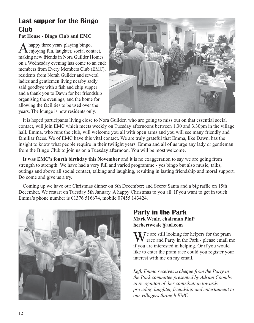### **Last supper for the Bingo Club**

#### **Pat House - Bingo Club and EMC**

A happy three years playing bingo,<br>
enjoying fun, laughter, social contact, making new friends in Nora Guilder Homes on a Wednesday evening has come to an end: members from Every Members Club (EMC), residents from Norah Guilder and several ladies and gentlemen living nearby sadly said goodbye with a fish and chip supper and a thank you to Dawn for her friendship organising the evenings, and the home for allowing the facilities to be used over the years. The lounge is now residents only.



It is hoped participants living close to Nora Guilder, who are going to miss out on that essential social contact, will join EMC which meets weekly on Tuesday afternoons between 1.30 and 3.30pm in the village hall. Emma, who runs the club, will welcome you all with open arms and you will see many friendly and familiar faces. We of EMC have this vital contact. We are truly grateful that Emma, like Dawn, has the insight to know what people require in their twilight years. Emma and all of us urge any lady or gentleman from the Bingo Club to join us on a Tuesday afternoon. You will be most welcome.

**It was EMC's fourth birthday this November** and it is no exaggeration to say we are going from strength to strength. We have had a very full and varied programme - yes bingo but also music, talks, outings and above all social contact, talking and laughing, resulting in lasting friendship and moral support. Do come and give us a try.

Coming up we have our Christmas dinner on 8th December; and Secret Santa and a big raffle on 15th December. We restart on Tuesday 5th January. A happy Christmas to you all. If you want to get in touch Emma's phone number is 01376 516674, mobile 07455 143424.



#### **Party in the Park Mark Weale, chairman PinP herbertweale@aol.com**

 $\overline{f}$   $\overline{f}$  are still looking for helpers for the pram race and Party in the Park - please email me if you are interested in helping. Or if you would like to enter the pram race could you register your interest with me on my email.

*Left, Emma receives a cheque from the Party in the Park committee presented by Adrian Coombs in recogniton of her contribution towards providing laughter, friendship and entertaiment to our villagers through EMC*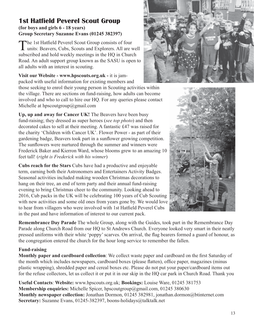#### **1st Hatfield Peverel Scout Group (for boys and girls 6 - 18 years) Group Secretary Suzanne Evans (01245 382397)**

The 1st Hatfield Peverel Scout Group consists of four units: Beavers, Cubs, Scouts and Explorers. All are well subscribed and hold weekly meetings in the HQ in Church Road. An adult support group known as the SASU is open to all adults with an interest in scouting.

**Visit our Website - www.hpscouts.org.uk -** it is jampacked with useful information for existing members and

those seeking to enrol their young person in Scouting activities within the village. There are sections on fund-raising, how adults can become involved and who to call to hire our HQ. For any queries please contact Michelle at hpscoutgroup@gmail.com

**Up, up and away for Cancer UK!** The Beavers have been busy fund-raising; they dressed as super heroes (*see top photo*) and then decorated cakes to sell at their meeting. A fantastic £47 was raised for the charity 'Children with Cancer UK'. Flower Power - as part of their gardening badge, Beavers took part in a sunflower growing competition. The sunflowers were nurtured through the summer and winners were Frederick Baker and Kierron Ward, whose blooms grew to an amazing 10 feet tall! (*right is Frederick with his winner*)

**Cubs reach for the Stars** Cubs have had a productive and enjoyable term, earning both their Astronomers and Entertainers Activity Badges. Seasonal activities included making wooden Christmas decorations to hang on their tree, an end of term party and their annual fund-raising evening to bring Christmas cheer to the community. Looking ahead to 2016, Cub packs in the UK will be celebrating 100 years of Cub Scouting with new activities and some old ones from years gone by. We would love to hear from villagers who were involved with 1st Hatfield Peverel Cubs in the past and have information of interest to our current pack.





**Remembrance Day Parade** The whole Group, along with the Guides, took part in the Remembrance Day Parade along Church Road from our HQ to St Andrews Church. Everyone looked very smart in their neatly pressed uniforms with their white 'poppy' scarves. On arrival, the flag bearers formed a guard of honour, as the congregation entered the church for the hour long service to remember the fallen.

#### **Fund-raising**

**Monthly paper and cardboard collection**: We collect waste paper and cardboard on the first Saturday of the month which includes newspapers, cardboard boxes (please flatten), office paper, magazines (minus plastic wrapping), shredded paper and cereal boxes etc. Please do not put your paper/cardboard items out for the refuse collectors, let us collect it or put it in our skip in the HQ car park in Church Road. Thank you

**Useful Contacts**: **Website:** www.hpscouts.org.uk; **Bookings:** Louise Ware, 01245 381753 **Membership enquiries:** Michelle Spicer, hpscoutgroup@gmail.com, 01245 380630 **Monthly newspaper collection:** Jonathan Dormon, 01245 382981, jonathan.dormon@btinternet.com **Secretary:** Suzanne Evans, 01245-382397, boons-holidays@talktalk.net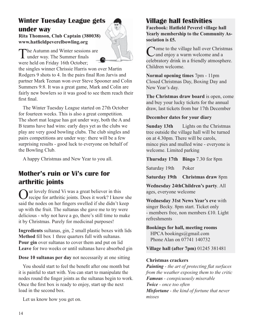### **Winter Tuesday League gets under way**

**Rita Thomson, Club Captain (380038) www.hatfieldpeverelbowling.org**

The Autumn and Winter sessions are under way. The Summer finals were held on Friday 16th October;

the singles winner Chrissie Harris won over Martin Rodgers 9 shots to 4. In the pairs final Ron Jarvis and partner Mark Teenan won over Steve Spooner and Colin Summers 9:8. It was a great game, Mark and Colin are fairly new bowlers so it was good to see them reach their first final.

The Winter Tuesday League started on 27th October for fourteen weeks. This is also a great competition. The short mat league has got under way, both the A and B teams have had wins: early days yet as the clubs we play are very good bowling clubs. The club singles and pairs competitions are under way: there will be a few surprising results - good luck to everyone on behalf of the Bowling Club.

A happy Christmas and New Year to you all.

### **Mother's ruin or Vi's cure for arthritic joints**

**Our lovely friend Vi was a great believer in this** recipe for arthritic joints. Does it work? I know she said the nodes on her fingers swelled if she didn't keep up with the fruit. The sultanas she gave me to try were delicious - why not have a go, there's still time to make it by Christmas. Purely for medicinal purposes!

**Ingredients** sultanas, gin, 2 small plastic boxes with lids **Method** fill box 1 three quarters full with sultanas. **Pour gin** over sultanas to cover them and put on lid **Leave** for two weeks or until sultanas have absorbed gin

**Dose 10 sultanas per day** not necessarily at one sitting

You should start to feel the benefit after one month but it is painful to start with. You can start to manipulate the nodes round the finger joints as the sultanas begin to work. Once the first box is ready to enjoy, start up the next load in the second box.

Let us know how you get on.

### **Village hall festivities**

**Facebook: Hatfield Peverel village hall Yearly membership to the Community Association is £5.**

Come to the village hall over Christmas and enjoy a warm welcome and a celebratory drink in a friendly atmosphere. Children welcome.

**Normal opening times** 7pm - 11pm Closed Christmas Day, Boxing Day and New Year's day.

**The Christmas draw board** is open, come and buy your lucky tickets for the annual draw, last tickets from bar 17th December

#### **December dates for your diary**

**Sunday 13th** Lights on the Christmas tree outside the village hall will be turned on at 4.30pm. There will be carols, mince pies and mulled wine - everyone is welcome. Limited parking

**Thursday 17th Bingo** 7.30 for 8pm

Saturday 19th Poker

**Saturday 19th Christmas draw** 8pm

**Wednesday 24thChildren's party**. All ages, everyone welcome

**Wednesday 31st News Year's eve** with singer Becky. 8pm start. Ticket only - members free, non members £10. Light refreshments

**Bookings for hall, meeting rooms** HPCA bookings@gmail.com Phone Alan on 07741 140732

**Village hall (after 7pm)** 01245 381481

#### **Christmas crackers**

*Painting - the art of protecting flat surfaces from the weather exposing them to the critic Famous - conspicuously miserable Twice - once too often Misfortune - the kind of fortune that never misses*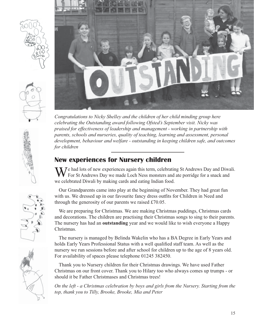





*Congratulations to Nicky Shelley and the children of her child minding group here celebrating the Outstanding award following Ofsted's September visit. Nicky was praised for effectiveness of leadership and management - working in partnership with parents, schools and nurseries, quality of teaching, learning and assessment, personal development, behaviour and welfare - outstanding in keeping children safe, and outcomes for children*

### **New experiences for Nursery children**

 $\sum$   $\sum$   $\sum$  had lots of new experiences again this term, celebrating St Andrews Day and Diwali. For St Andrews Day we made Loch Ness monsters and ate porridge for a snack and we celebrated Diwali by making cards and eating Indian food.

Our Grandparents came into play at the beginning of November. They had great fun with us. We dressed up in our favourite fancy dress outfits for Children in Need and through the generosity of our parents we raised £70.05.

We are preparing for Christmas. We are making Christmas puddings, Christmas cards and decorations. The children are practising their Christmas songs to sing to their parents. The nursery has had an **outstanding** year and we would like to wish everyone a Happy Christmas.

The nursery is managed by Belinda Wakelin who has a BA Degree in Early Years and holds Early Years Professional Status with a well qualified staff team. As well as the nursery we run sessions before and after school for children up to the age of 8 years old. For availability of spaces please telephone 01245 382450.

Thank you to Nursery children for their Christmas drawings. We have used Father Christmas on our front cover. Thank you to Hilary too who always comes up trumps - or should it be Father Christmases and Christmas trees!

*On the left - a Christmas celebration by boys and girls from the Nursery. Starting from the top, thank you to Tilly, Brooke, Brooke, Mia and Peter*



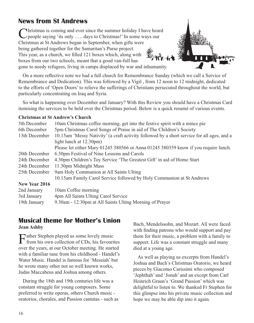### **News from St Andrews**

Christmas is coming and ever since the summer holiday I have heard people saying 'its only ..... days to Christmas!' In some ways our Christmas at St Andrews began in September, when gifts were being gathered together for the Samaritan's Purse project. This year, as a church, we filled 121 boxes which, along with boxes from our two schools, meant that a good van-full has gone to needy refugees, living in camps displaced by war and inhumanity.

On a more reflective note we had a full church for Remembrance Sunday (which we call a Service of Remembrance and Dedication). This was followed by a Vigil , from 12 noon to 12 midnight, dedicated to the efforts of 'Open Doors' to relieve the sufferings of Christians persecuted throughout the world, but particularly concentrating on Iraq and Syria.

So what is happening over December and January? With this Review you should have a Christmas Card itemising the services to be held over the Christmas period. Below is a quick resumé of various events.

#### **Christmas at St Andrew's Church**

| 5th December                                             | 10am Christmas coffee morning, get into the festive spirit with a mince pie                |
|----------------------------------------------------------|--------------------------------------------------------------------------------------------|
| 6th December                                             | 5pm Christmas Carol Songs of Praise in aid of The Children's Society                       |
| 13th December                                            | 10.15am 'Messy Nativity' (a craft activity followed by a short service for all ages, and a |
|                                                          | light lunch at $12.30 \text{pm}$ )                                                         |
|                                                          | Please let either Mary 01245 380566 or Anna 01245 380359 know if you require lunch.        |
| 20th December                                            | 6.30pm Festival of Nine Lessons and Carols                                                 |
| 24th December                                            | 4.30pm Children's Toy Service 'The Greatest Gift' in aid of Home Start                     |
| 24th December                                            | 11.30pm Midnight Mass                                                                      |
| 9am Holy Communion at All Saints Ulting<br>25th December |                                                                                            |
|                                                          | 10.15am Family Carol Service followed by Holy Communion at St Andrews                      |
| New Year 2016                                            |                                                                                            |
| 2nd January                                              | 10am Coffee morning                                                                        |
| 3rd January                                              | 4pm All Saints Ulting Carol Service                                                        |
| 19th January                                             | 9.30am - 12.30pm at All Saints Ulting Morning of Prayer                                    |

## **Musical theme for Mother's Union**

**Jean Ashby**

Father Stephen played us some lovely music<br>from his own collection of CDs, his favourites over the years, at our October meeting. He started with a familiar tune from his childhood - Handel's Water Music. Handel is famous for 'Messiah' but he wrote many other not so well known works, Judas Maccabeus and Joshua among others.

During the 18th and 19th centuries life was a constant struggle for young composers. Some preferred to write operas, others Church music oratorios, chorales, and Passion cantatas - such as Bach, Mendelssohn, and Mozart. All were faced with finding patrons who would support and pay them for their music, a problem with a family to support. Life was a constant struggle and many died at a young age.

As well as playing us excerpts from Handel's Joshua and Bach's Christmas Oratorio, we heard pieces by Giacomo Carissimi who composed 'Jephthah' and 'Jonah' and an except from Carl Heinrich Graun's 'Grand Passion' which was delightful to listen to. We thanked Fr Stephen for this glimpse into his private music collection and hope we may be able dip into it again.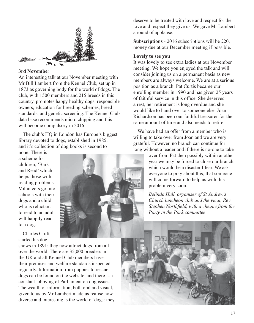

#### **3rd Novembe**r

An interesting talk at our November meeting with Mr Bill Lambert from the Kennel Club, set up in 1873 as governing body for the world of dogs. The club, with 1500 members and 215 breeds in this country, promotes happy healthy dogs, responsible owners, education for breeding schemes, breed standards, and genetic screening. The Kennel Club data base recommends micro chipping and this will become compulsory in 2016.

The club's HQ in London has Europe's biggest library devoted to dogs, established in 1985, and it's collection of dog books is second to

none. There is a scheme for children, 'Bark and Read' which helps those with reading problems. Volunteers go into schools with their dogs and a child who is reluctant to read to an adult will happily read to a dog.

Charles Cruft started his dog

shows in 1891: they now attract dogs from all over the world. There are 35,000 breeders in the UK and all Kennel Club members have their premises and welfare standards inspected regularly. Information from puppies to rescue dogs can be found on the website, and there is a constant lobbying of Parliament on dog issues. The wealth of information, both oral and visual, given to us by Mr Lambert made us realise how diverse and interesting is the world of dogs: they deserve to be treated with love and respect for the love and respect they give us. We gave Mr Lambert a round of applause.

**Subscriptions** - 2016 subscriptions will be £20, money due at our December meeting if possible.

#### **Lovely to see you**

It was lovely to see extra ladies at our November meeting. We hope you enjoyed the talk and will consider joining us on a permanent basis as new members are always welcome. We are at a serious position as a branch. Pat Curtis became our enrolling member in 1990 and has given 25 years of faithful service in this office. She deserves a rest, her retirement is long overdue and she would like to hand over to someone else. Joan Richardson has been our faithful treasurer for the same amount of time and also needs to retire.

We have had an offer from a member who is willing to take over from Joan and we are very grateful. However, no branch can continue for long without a leader and if there is no-one to take

> over from Pat then possibly within another year we may be forced to close our branch, which would be a disaster I fear. We ask everyone to pray about this; that someone will come forward to help us with this problem very soon.

> *Belinda Hull, organiser of St Andrew's Church luncheon club and the vicar, Rev Stephen Northfield, with a cheque from the Party in the Park committee*

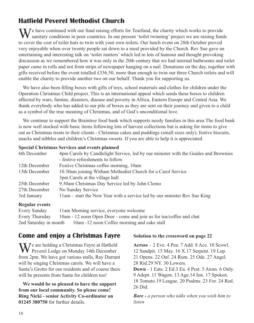### **Hatfield Peverel Methodist Church**

We have continued with our fund raising efforts for Tearfund, the charity which works to provide sanitary conditions in poor countries. In our present 'toilet twinning' project we are raising funds to cover the cost of toilet huts to twin with your own toilets. Our lunch event on 28th October proved very enjoyable when over twenty people sat down to a meal provided by the Church. Rev Sue gave an entertaining and interesting talk on 'toilet matters' which led to lots of humour and thought provoking discussion as we remembered how it was only in the 20th century that we had internal bathrooms and toilet paper came in rolls and not from strips of newspaper hanging on a nail. Donations on the day, together with gifts received before the event totalled £336.50, more than enough to twin our three Church toilets and will enable the charity to provide another two on our behalf. Thank you for supporting us.

We have also been filling boxes with gifts of toys, school materials and clothes for children under the Operation Christmas Child project. This is an international appeal which sends these boxes to children affected by wars, famine, disasters, disease and poverty in Africa, Eastern Europe and Central Asia. We thank everybody who has added to our pile of boxes as they are sent on their journey and given to a child as a symbol of the true meaning of Christmas, and of God's unconditional love.

We continue to support the Braintree food bank which supports needy families in this area The food bank is now well stocked with basic items following lots of harvest collections but is asking for items to give out as Christmas treats to their clients - Christmas cakes and puddings (small sizes only), festive biscuits, snacks and nibbles and children's Christmas sweets. If you are able to help it is appreciated.

#### **Special Christmas Services and events planned**

| 6th December  | 4pm Carols by Candlelight Service, led by our minister with the Guides and Brownies |
|---------------|-------------------------------------------------------------------------------------|
|               | - festive refreshments to follow                                                    |
| 12th December | Festive Christmas coffee morning, 10am                                              |
| 13th December | 10.30am joining Witham Methodist Church for a Carol Service                         |
|               | 3pm Carols at the village hall                                                      |
| 25th December | 9.30am Christmas Day Service led by John Clemo                                      |
| 27th December | No Sunday Service                                                                   |
| 3rd January   | 11am – start the New Year with a service led by our minister Rev Sue King           |
|               |                                                                                     |

#### **Regular events**

Every Sunday 11am Morning service, everyone welcome Every Thursday 10am - 12 noon Open Door - come and join us for tea/coffee and chat 2nd Saturday in month 10am -12 noon Coffee morning and cake stall

### **Come and enjoy a Christmas Fayre**

We are holding a Christmas Fayre at Hatfield Peverel Lodge on Monday 14th December from 2pm. We have got various stalls, Ray Durrant will be singing Christmas carols. We will have a Santa's Grotto for our residents and of course there will be presents from Santa for children too!

**We would be so pleased to have the support from our local community. So please come! Ring Nicki - senior Activity Co-ordinator on 01245 380750** for further details.

#### **Solution to the crossword on page 22**

**Across** – 2 Eve. 4 Pea. 7 Add. 8 Ace. 10 Scowl. 12 Sandpit. 15 May. 16 X.17 Serpent. 19 Lop. 21 Opens. 22 Oaf. 24 Rum. 25 Ode. 27 Angel. 28 Rid.29 NY. 30 Lowers. **Down** - 1 Eats. 2 Ed.3 Ea. 4 Pest. 5 Atom. 6 Only. 9 Adept. 11 Wagon. 13 Age.14 Ion. 17 Spoken.

18 Tomato.19 League. 20 Psalms. 23 For. 24 Red. 26 Did.

*Bore - a person who talks when you wish him to listen*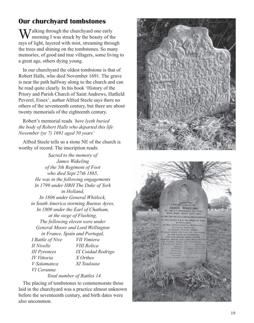### **Our churchyard tombstones**

 $\sum$  *J* alking through the churchyard one early morning I was struck by the beauty of the rays of light, layered with mist, streaming through the trees and shining on the tombstones. So many memories, of good and true villagers, some living to a great age, others dying young.

In our churchyard the oldest tombstone is that of Robert Halls, who died November 1691. The grave is near the path halfway along to the church and can be read quite clearly. In his book 'History of the Priory and Parish Church of Saint Andrews, Hatfield Peverel, Essex', author Alfred Steele says there no others of the seventeenth century, but there are about twenty memorials of the eighteenth century.

Robert's memorial reads *'here lyeth buried the body of Robert Halls who departed this life November (ye 7) 1691 aged 50 years'*

Alfred Steele tells us a stone NE of the church is worthy of record. The inscription reads:

> *Sacred to the memory of James Wakeling of the 5th Regiment of Foot who died Sept 27th 1865, He was in the following engagements In 1799 under HRH The Duke of York in Holland, In 1806 under General Whitlock, in South America storming Buenos Ayres, In 1809 under the Earl of Chatham, at the siege of Flushing, The following eleven were under General Moore and Lord Wellington in France, Spain and Portugal, I Battle of Nive VII Vimiera II Nivelle VIII Rolica III Pyrenees IX Cuidad Rodrigo IV Vittoria X Orthes V Salamanca XI Toulouse VI Corunna*

> > *Total number of Battles 14*

The placing of tombstones to commemorate those laid in the churchyard was a practice almost unknown before the seventeenth century, and birth dates were also uncommon.

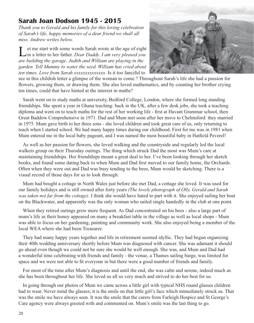### **Sarah Joan Dodson 1945 - 2015**

*Thank you to Gerald and his family for this loving celebration of Sarah's life, happy memories of a dear friend we shall all miss. Andrew writes below.*

Let me start with some words Sarah wrote at the age of eight in a letter to her father. *Dear Daddy. I am very pleased you are building the garage. Judith and William are playing in the garden. Tell Mummy to water the seed. William has cried about ten times. Love from Sarah xxxxxxxxxxxxxx.* Is it too fanciful to



see in this childish letter a glimpse of the woman to come.? Throughout Sarah's life she had a passion for flowers, growing them, or drawing them. She also loved mathematics, and by counting her brother crying ten times, could that have hinted at the interest in maths?

Sarah went on to study maths at university, Bedford College, London, where she formed long standing friendships. She spent a year in Ghana teaching: back in the UK, after a few desk jobs, she took a teaching diploma and went on to teach maths for the rest of her working life - first at Havant Grammar school, then Great Baddow Comprehensive in 1971. Dad and Mum met soon after her move to Chelmsford: they married in 1975. Mum gave birth to her three sons - she loved children and took great care of us, only returning to teach when I started school. We had many happy times during our childhood. First for me was in 1981 when Mum entered me in the local baby pageant, and I was named the most beautiful baby in Hatfield Peverel!

As well as her passion for flowers, she loved walking and the countryside and regularly led the local walkers group on their Thursday outings. The thing which struck Dad the most was Mum's care at maintaining friendships. Her friendships meant a great deal to her. I've been looking through her sketch books, and found some dating back to when Mum and Dad first moved to our family home, the Orchards. Often when they were out and Dad was busy tending to the bees, Mum would be sketching. There is a visual record of those days for us to look through.

Mum had bought a cottage in North Wales just before she met Dad, a cottage she loved. It was used for our family holidays and is still owned after forty years *(The lovely photograph of Olly, Gerald and Sarah was taken not far from the cottage)*. I think she would have hated to part with it. She enjoyed sailing her boat on the Blackwater, and apparently was the only woman who sailed single handedly in the club at one point.

When they retired outings grew more frequent. As Dad concentrated on his bees - also a large part of mum's life as their honey appeared on many a breakfast table in the village as well as local shops - Mum was able to focus on her gardening, painting and community work. She also enjoyed being a member of the local WEA where she had been Treasurer.

They had many happy years together and life in retirement seemed idyllic. They had begun organizing their 40th wedding anniversary shortly before Mum was diagnosed with cancer. She was adamant it should go ahead even though we could not be sure she would be well enough. She was, and Mum and Dad had a wonderful time celebrating with friends and family - the venue, a Thames sailing barge, was limited for space and we were not able to fit everyone in but there were a good number of friends and family.

For most of the time after Mum's diagnosis and until the end, she was calm and serene, indeed much as she has been throughout her life. She loved us all so very much and strived to do her best for us.

In going through our photos of Mum we came across a little girl with typical NHS round glasses children had to wear. Never mind the glasses; it is the smile on that little girl's face which immediately struck us. That was the smile we have always seen. It was the smile that the carers from Farleigh Hospice and St George's Care agency were always greeted with and commented on. Mum's smile was the last thing to go.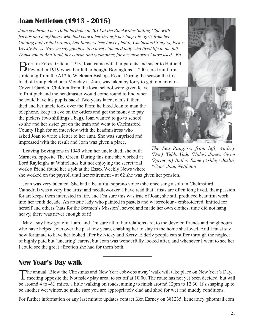### **Joan Nettleton (1913 - 2015)**

*Joan celebrated her 100th birthday in 2013 at the Blackwater Sailing Club with friends and neighbours who had known her through her long life: girls from her Guiding and Trefoil groups, Sea Rangers (see lower photo), Chelmsford Singers, Essex Weekly News. Now we say goodbye to a lovely talented lady who lived life to the full. Thank you to Ann Todd, her cousin and godmother, for her memories I have used - Ed*

Born in Forest Gate in 1913, Joan came with her parents and sister to Hatfield<br>Peverel in 1919 when her father bought Bovingtons, a 200-acre fruit farm stretching from the A12 to Wickham Bishops Road. During the season the first load of fruit picked on a Monday at 4am, was taken by lorry to get to market in

Covent Garden. Children from the local school were given leave to fruit pick and the headmaster would come round to find when he could have his pupils back! Two years later Joan's father died and her uncle took over the farm: he liked Joan to man the telephone, keep an eye on the orders and get the money to pay the pickers (two shillings a bag). Joan wanted to go to school so she and her sister got on the train and went to Chelmsford County High for an interview with the headmistress who asked Joan to write a letter to her aunt. She was surprised and impressed with the result and Joan was given a place.

Leaving Bovingtons in 1949 when her uncle died, she built Marneys, opposite The Green. During this time she worked at Lord Rayleighs at Whitelands but not enjoying the secretarial work a friend found her a job at the Essex Weekly News where

she worked on the payroll until her retirement - at 62 she was given her pension.

Joan was very talented. She had a beautiful soprano voice (she once sang a solo in Chelmsford Cathedral) was a very fine artist and needleworker. I have read that artists are often long lived, their passion for art keeps them interested in life, and I'm sure this was true of Joan; she still produced beautiful work into her tenth decade. An artistic lady who painted in pastels and watercolour - embroidered, knitted for herself and others (hats for the Seamen's Mission), sewed and made her own clothes, time did not hang heavy, there was never enough of it!

May I say how grateful I am, and I'm sure all of her relations are, to the devoted friends and neighbours who have helped Joan over the past few years, enabling her to stay in the home she loved. And I must say how fortunate to have her looked after by Nicky and Kerry. Elderly people can suffer through the neglect of highly paid but 'uncaring' carers, but Joan was wonderfully looked after, and whenever I went to see her I could see the great affection she had for them both.

### **New Year's Day walk**

The annual 'Blow the Christmas and New Year cobwebs away' walk will take place on New Year's Day, meeting opposite the Nounsley play area, to set off at 10.00. The route has not yet been decided, but will be around 4 to 4½ miles, a little walking on roads, aiming to finish around 12pm to 12.30. It's shaping up to be another wet winter, so make sure you are appropriately clad and shod for wet and muddy conditions.

For further information or any last minute updates contact Ken Earney on 381235, kenearney@hotmail.com

*The Sea Rangers, from left, Audrey (Doe) Webb, Vada (Hales) Jones, Gwen (Springett) Butler, Esme (Ashley) Joslin, "Cap" Joan Nettleton*



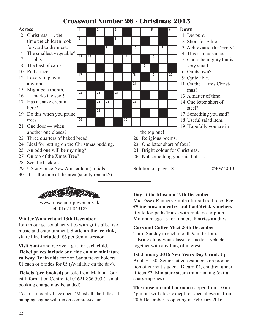### **Crossword Number 26 - Christmas 2015**

#### **Across**

- 2 Christmas —, the time the children look forward to the most.
- 4 The smallest vegetable?
- $7 plus -$ .
- 8 The best of cards.
- 10 Pull a face.
- 12 Lovely to play in anytime.
- 15 Might be a month.
- 16 marks the spot!
- 17 Has a snake crept in here?
- 19 Do this when you prune trees.
- 21 One door when another one closes?
- 22 Three quarters of baked bread.
- 24 Ideal for putting on the Christmas pudding.
- 25 An odd one will be rhyming?
- 27 On top of the Xmas Tree?
- 28 See the back of.
- 29 US city once New Amsterdam (initials).
- 30 It the tone of the area (snooty remark?)



www.museumofpower.org.uk tel: 01621 843183

#### **Winter Wonderland 13th December**

Join in our seasonal activities with gift stalls, live music and entertainment. **Skate on the ice rink, skate hire included.** £6 per 30min session.

**Visit Santa** and receive a gift for each child. **Ticket prices include one ride on our miniature railway. Train ride** for non Santa ticket holders £1 each or 6 rides for £5 (Available on the day).

**Tickets (pre-booked)** on sale from Maldon Tourist Information Centre: tel 01621 856 503 (a small booking charge may be added).

'Astaria' model village open. 'Marshall' the Lilleshall pumping engine will run on compressed air.



#### **Down**

- 1 Devours.
- 2 Short for Editor.
- 3 Abbreviation for 'every'.
- 4 This is a nuisance.
- 5 Could be mighty but is very small.
- 6 On its own?
- 9 Quite able.
- 11 On the this Christmas?
- 13 A matter of time.
- 14 One letter short of steel?
- 17 Something you said?
- 18 Useful salad item.
- 19 Hopefully you are in

the top one!

- 20 Religious poems.
- 23 One letter short of four?
- 24 Bright colour for Christmas.
- 26 Not something you said but —.

Solution on page 18 ©FW 2013

**Day at the Museum 19th December**

Mid Essex Runners 5 mile off road trail race. **Fee £5 inc museum entry and food/drink vouchers** Route footpaths/tracks with route description. Minimum age 15 for runners. **Entries on day.**

#### **Cars and Coffee Meet 20th December**

Third Sunday in each month 9am to 1pm.

 Bring along your classic or modern vehicles together with anything of interest**.**

#### **1st January 2016 New Years Day Crank Up**

Adult £4.50; Senior citizens/students on production of current student ID card £4, children under fifteen £2. Miniature steam train running (extra charge applies).

**The museum and tea room** is open from 10am - 4pm but will close except for special events from 20th December, reopening in February 2016.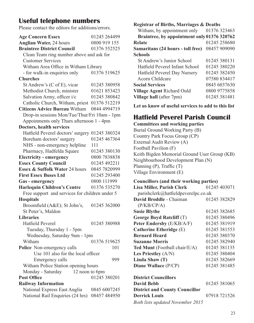### **Useful telephone numbers**

Please contact the editors for additions/errors.

| <b>Age Concern Essex</b>                       | 01245 264499 |  |  |  |
|------------------------------------------------|--------------|--|--|--|
| <b>Anglian Water, 24 hours</b>                 | 0800 919 155 |  |  |  |
| <b>Braintree District Council</b>              | 01376 552525 |  |  |  |
| Clean Team ring number above and ask for       |              |  |  |  |
| <b>Customer Services</b>                       |              |  |  |  |
| Witham Area Office in Witham Library           |              |  |  |  |
| - for walk-in enquiries only                   | 01376 519625 |  |  |  |
| <b>Churches</b>                                |              |  |  |  |
| St Andrew's (C of E), vicar                    | 01245 380958 |  |  |  |
| Methodist Church, minister                     | 01621 853423 |  |  |  |
| Salvation Army, officer i/c                    | 01245 380842 |  |  |  |
| Catholic Church, Witham, priest 01376 512219   |              |  |  |  |
| <b>Citizens Advice Bureau Witham</b>           | 0844 4994719 |  |  |  |
| Drop-in sessions Mon/Tue/Thur/Fri 10am - 1pm   |              |  |  |  |
| Appoinments only Thurs afternoon 1 - 4pm       |              |  |  |  |
| Doctors, health services                       |              |  |  |  |
| Hatfield Peverel doctors' surgery              | 01245 380324 |  |  |  |
| Boreham doctors' surgery                       | 01245 467364 |  |  |  |
| NHS - non-emergency helpline                   | 111          |  |  |  |
| Pharmacy, Hadfelda Square                      | 01245 380130 |  |  |  |
| <b>Electricity - emergency</b>                 | 0800 7838838 |  |  |  |
| <b>Essex County Council</b>                    | 01245 492211 |  |  |  |
| Essex & Suffolk Water 24 hours                 | 0845 7820999 |  |  |  |
| <b>First Essex Buses Ltd</b>                   | 01245 293400 |  |  |  |
| Gas - emergency                                | 0800 111999  |  |  |  |
| <b>Harlequin Children's Centre</b>             | 01376 535270 |  |  |  |
| Free support and services for children under 5 |              |  |  |  |
| <b>Hospitals</b>                               |              |  |  |  |
| Broomfield (A&E); St John's,                   | 01245 362000 |  |  |  |
| St Peter's, Maldon                             |              |  |  |  |
| <b>Libraries</b>                               |              |  |  |  |
| Hatfield Peverel                               | 01245 380988 |  |  |  |
| Tuesday, Thursday 1 - 5pm                      |              |  |  |  |
| Wednesday, Saturday 9am - 1pm                  |              |  |  |  |
| Witham                                         | 01376 519625 |  |  |  |
| Police Non-emergency calls                     | 101          |  |  |  |
| Use 101 also for the local officer             |              |  |  |  |
| Emergency calls                                | 999          |  |  |  |
| Witham Police Station opening hours            |              |  |  |  |
| Monday - Saturday<br>12 noon to 6pm            |              |  |  |  |
| <b>Post Office</b>                             | 01245 380201 |  |  |  |
| <b>Railway Information</b>                     |              |  |  |  |
| National Express East Anglia                   | 0845 6007245 |  |  |  |
| National Rail Enquiries (24 hrs)               | 08457 484950 |  |  |  |

**Registrar of Births, Marriages & Deaths**

| Witham, by appointment only                 | 01376 323463 |
|---------------------------------------------|--------------|
| Braintree, by appointment only 01376 320762 |              |
| <b>Relate</b>                               | 01245 258680 |
| Samaritans (24 hours - toll free)           | 08457 909090 |
| <b>Schools</b>                              |              |
| St Andrew's Junior School                   | 01245 380131 |
| Hatfield Peverel Infant School              | 01245 380220 |
| Hatfield Peverel Day Nursery                | 01245 382450 |
| Acorn Childcare                             | 07580834417  |
| <b>Social Services</b>                      | 0845 6037630 |
| Village Agent Richard Ould                  | 0800 9775858 |
| Village hall (after 7pm)                    | 01245 381481 |
|                                             |              |

**Let us know of useful services to add to this list**

### **Hatfield Peverel Parish Council**

#### **Committees and working parties**

Burial Ground Working Party (B) Country Park Focus Group (CP) External Audit Review (A) Football Pavilion (F) Keith Bigden Memorial Ground User Group (KB) Neighbourhood Development Plan (N) Planning (P), Traffic (T) Village Environment (E)

#### **Councillors (and their working parties)**

| Lisa Miller, Parish Clerk             | 01245 403071 |
|---------------------------------------|--------------|
| parishclerk@hatfieldpeverelpc.co.uk   |              |
| David Broddle - Chaiman               | 01245 382829 |
| (P/KB/CP/A)                           |              |
| <b>Susie Blythe</b>                   | 01245 382685 |
| George Boyd Ratcliff (T)              | 01245 380496 |
| <b>Peter Endersby (E/KB/A/F)</b>      | 01245 381919 |
| Catherine Etheridge (E)               | 01245 381553 |
| <b>Bernard Heard</b>                  | 01245 380370 |
| <b>Suzanne Morris</b>                 | 01245 382940 |
| <b>Ted Munt</b> (Football chair/E/A)  | 01245 381135 |
| Les Priestley $(A/N)$                 | 01245 380404 |
| Linda Shaw (T)                        | 01245 382669 |
| Diane Wallace (P/CP)                  | 01245 381485 |
| <b>District Councillors</b>           |              |
| <b>David Bebb</b>                     | 01245 381065 |
| <b>District and County Councillor</b> |              |
|                                       |              |
| <b>Derrick Louis</b>                  | 07918 721526 |
| Both lists updated November 2015      |              |